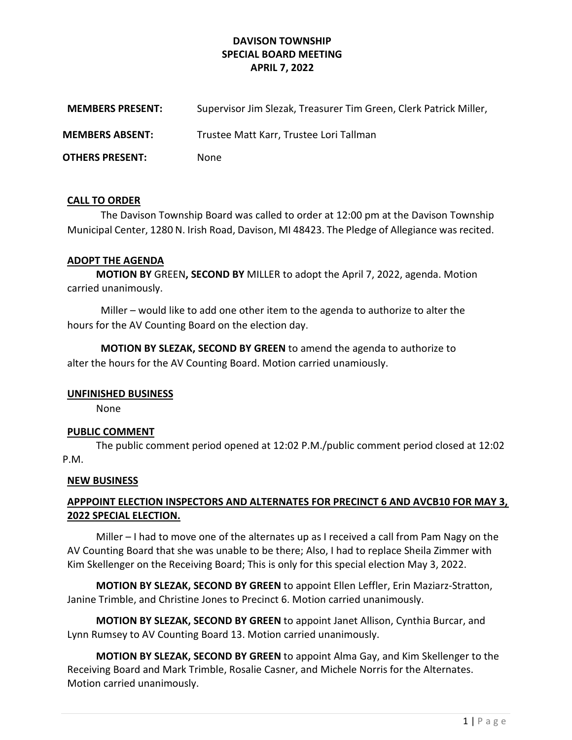## DAVISON TOWNSHIP SPECIAL BOARD MEETING APRIL 7, 2022

| <b>MEMBERS PRESENT:</b> | Supervisor Jim Slezak, Treasurer Tim Green, Clerk Patrick Miller, |
|-------------------------|-------------------------------------------------------------------|
| <b>MEMBERS ABSENT:</b>  | Trustee Matt Karr, Trustee Lori Tallman                           |
| <b>OTHERS PRESENT:</b>  | <b>None</b>                                                       |

#### CALL TO ORDER

The Davison Township Board was called to order at 12:00 pm at the Davison Township Municipal Center, 1280 N. Irish Road, Davison, MI 48423. The Pledge of Allegiance was recited.

#### ADOPT THE AGENDA

MOTION BY GREEN, SECOND BY MILLER to adopt the April 7, 2022, agenda. Motion carried unanimously.

Miller – would like to add one other item to the agenda to authorize to alter the hours for the AV Counting Board on the election day.

MOTION BY SLEZAK, SECOND BY GREEN to amend the agenda to authorize to alter the hours for the AV Counting Board. Motion carried unamiously.

#### UNFINISHED BUSINESS

None

### PUBLIC COMMENT

 The public comment period opened at 12:02 P.M./public comment period closed at 12:02 P.M.

#### NEW BUSINESS

## APPPOINT ELECTION INSPECTORS AND ALTERNATES FOR PRECINCT 6 AND AVCB10 FOR MAY 3, 2022 SPECIAL ELECTION.

 Miller – I had to move one of the alternates up as I received a call from Pam Nagy on the AV Counting Board that she was unable to be there; Also, I had to replace Sheila Zimmer with Kim Skellenger on the Receiving Board; This is only for this special election May 3, 2022.

 MOTION BY SLEZAK, SECOND BY GREEN to appoint Ellen Leffler, Erin Maziarz-Stratton, Janine Trimble, and Christine Jones to Precinct 6. Motion carried unanimously.

 MOTION BY SLEZAK, SECOND BY GREEN to appoint Janet Allison, Cynthia Burcar, and Lynn Rumsey to AV Counting Board 13. Motion carried unanimously.

 MOTION BY SLEZAK, SECOND BY GREEN to appoint Alma Gay, and Kim Skellenger to the Receiving Board and Mark Trimble, Rosalie Casner, and Michele Norris for the Alternates. Motion carried unanimously.